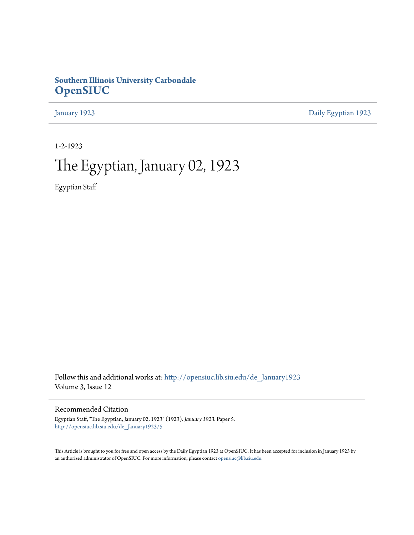### **Southern Illinois University Carbondale [OpenSIUC](http://opensiuc.lib.siu.edu?utm_source=opensiuc.lib.siu.edu%2Fde_January1923%2F5&utm_medium=PDF&utm_campaign=PDFCoverPages)**

[January 1923](http://opensiuc.lib.siu.edu/de_January1923?utm_source=opensiuc.lib.siu.edu%2Fde_January1923%2F5&utm_medium=PDF&utm_campaign=PDFCoverPages) [Daily Egyptian 1923](http://opensiuc.lib.siu.edu/de_1923?utm_source=opensiuc.lib.siu.edu%2Fde_January1923%2F5&utm_medium=PDF&utm_campaign=PDFCoverPages)

1-2-1923

# The Egyptian, January 02, 1923

Egyptian Staff

Follow this and additional works at: [http://opensiuc.lib.siu.edu/de\\_January1923](http://opensiuc.lib.siu.edu/de_January1923?utm_source=opensiuc.lib.siu.edu%2Fde_January1923%2F5&utm_medium=PDF&utm_campaign=PDFCoverPages) Volume 3, Issue 12

Recommended Citation

Egyptian Staff, "The Egyptian, January 02, 1923" (1923). *January 1923.* Paper 5. [http://opensiuc.lib.siu.edu/de\\_January1923/5](http://opensiuc.lib.siu.edu/de_January1923/5?utm_source=opensiuc.lib.siu.edu%2Fde_January1923%2F5&utm_medium=PDF&utm_campaign=PDFCoverPages)

This Article is brought to you for free and open access by the Daily Egyptian 1923 at OpenSIUC. It has been accepted for inclusion in January 1923 by an authorized administrator of OpenSIUC. For more information, please contact [opensiuc@lib.siu.edu.](mailto:opensiuc@lib.siu.edu)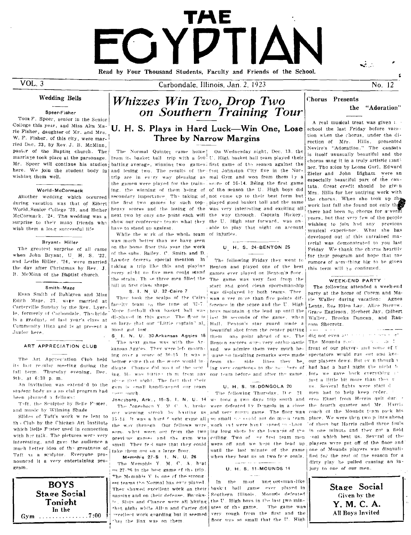# i/Ata FGYDTIA Read by Four Thousand Students, Faculty and Friends of the School.

 $VOL.3$ 

Carbondale, Illinois, Jan. 2, 1923

### **Wedding Bells**

### Speer-Fisher

Tomm F. Speer, senior in the Senior College this year, and Miss Alta Marie Fisher, daughter of Mr. and Mrs. W. F. Fisher, of this city, were married Dec. 23, by Rev. J. B. McMinn. pastor of the Baptist church. The marriage took place at the parsonage. Mr. Speer will continue his studies here. We join the student body in wishing them well.

### World-McCormack

Ahother wedding which occurred during vacation was that of Elbert World, Senior College '23, and Esther McCormack, '24. The wedding was a surprise to their many friends who wish them a long successful life

### Bryant- Hiller

The greatest surprise of all came when John Bryant, U H. S. 22. and Leslie Hiller, '24, were married the day after Christmas by Rev. J. B. McMinn of the Baptist church.

### Smith Maze

Evan Smith of Dahlgren and Miss Edith Maze, 23, were married at Carterville Sunday by the Rev. Lyerle, formerly of Carbondale. The bride is a graduate of last year's class at Community High and is at present a Junior here.

### ART APPRECIATION CLUB

The Art Appreciation Club held its last recular meeting during the fall term. Thursday evening, Dec.  $9th$ , at  $6:30$  p.m.

An invitation was extended to the student body as a so cial program had. been planned a fellows:

Taft, the Sculptor by Belle Faster, and music by Wilmina Shade

Slides of Taft's work wire lent to the Club by the Chicago Art Institute which Belle Fuster used in connection with her talk. The pictures were very interesting, and gave the audience a much hetter idea of the greatness of Taft as a sculptor. Everyone pronounced it a very entertaining program.



## Whizzes Win Two, Drop Two on Southern Training Tour

### U. H. S. Plays in Hard Luck-Win One, Lose Three by Narrow Margins

Trom its basket ball trip with a  $500^{+}$  U. High basket ball team played their batting average, winning two games! first game of the season against the and lesing two. The results of the fast Johnston City five in the Nortrip are in every way pleasing as mal Gym and won from them by a the games were played for the train-secore of 16-14. Being the first game ing, the winning of them being of of the season the U. High boys did secondary importance. The taking of not come up to their best form but the first two games by such top- played good basket ball and the same heavy scores and the losing of the was very interesting and exciting all next two by only one point each will the way through. Captain Hickey, show our conference teams what they the U. High star forward, was unhave to stand up against.

While the wirk of the whole team of injuries. was much better than we have seen on the home floor this year the work of the subs. Bailey. C. Smith and D. Lawder deserve special mention. In taking a trip like this and playing every night no five men could stand the strain. Thise three men filled the bill in first class shape

### S. I. N. U. 32-Cairo 7

They took the scalps of the Cairo facelty team  $\epsilon_0$  the tune of 32-7. More football than basket ball was displayed in this game. The fleor is so large that our "Little captain" al\_ most got lost

S I. N. U. 30-Arkansas Aggies 15 The next game was with the Arkansas Aggies. They were left mourning over a score of 30-15. It was a better game than the score would indicate. Chance did most of the scoring. Ho was bitting them from any our team before and after the game place that night. The fact that their gym is small handicarped our team none much

our winning streak by basting us, and very rough game. The floor was 15.14. It was a hard ? ught game all | so small we could not do movir team | place. We were then two points ahead the way through. Our fellows were, work int were handleapped in shoot. some what worn out from the two ing long shots by the lowness of the previous games and the gym was small. They fell sure that they could take them out on a large floor.

Memohis 27-S 1, N. U. 26 The Memphis Y. M. C. A. beat as 27.26 in the best game of the trip. The Memphis Y is one of the strong est teams the Normal has ever played. They showed excellent work on their nassing and on their defense. Buroksic. Slats and Chance were all hitting that night while Allen and Carter did utes of the game. pycellent work guarding but it seemed that the jinx was on them

The Normal Quintet came home! On Wednesday night, Dec. 13, the able to play that night on account

U H. S. 24-BENTON 25

The following Friday they went to Benton and played one of the best games ever played on Benton's floor The game was very fast from the start and good clean sportsmanship was displayed by both teams. Ther was nover more than five points difference in the score and the U. High hovs maintain of the lead up until the iast 30 seconds of the game, when Hall. Penton's star guard made a boautiful shot from the center putting them one point ahead of us. The Benton rooters were very enthu-lastic and we admire them very much berause no insulting remarks were made from the side lines they be\_ ing very courteous to the new bers of

### U. H. S. 18-DONGOLA 20

The following Thursday, Die 21 Jonesboro, Ark., 15-S. I. N. U. 14 we took a two days frip south and The Coneshoro Y. M. C. A. broke were defeated by Dungola in a chose ceiling. Two of mr first team men were off and we kept the lead up. until the last minute of the game when they beat us on two frie goals.

U. H. S. 11-MOUNDS 14

In the most unst ortsman-like bask't ball game ever played in Southern Illinois, Mountly defeated the U. High boys in the last two min-The game was very rough from the first and the floor was so small that the U. High



 $\dot{\mathbf{r}}$ 

#### **Chorus** Presents the "Adoration"

A real musical treat was given to school the last Friday before vacation when the chorus, under the direction of Mrg. Hills, presented Nevire's "Adoration." The cantata is itself unusually beautiful and the chorus sang it in a truly artistic mant ner. The solos by Leona Gurl, Edward Zieler and John Eigham were an especially beautiful part of the cantata. Great credit should be given Mrs. Hills for her untiring work with the chorus. When she took up the work last fall she found not only the there had been  $n_0$  chorus for saveral years, but that very few of the people wishing to join had any previous musical experience. What she has developed out of this untrained material was demonstrated to you last Friday We thank the chorus heartily for their program and hope that the rumors of something big to be given this term will be confirmed.

### **WEEK-END PARTY**

The following attended a week-end party at the home of Corem and Marie Waller during vacation: Agnes Lentz, Sue Ellen Lay, Alice Barrow. Grace Eagleson, Herbert Jay, Gilbert Waller, Brooks Duncan, and Ransom Sherretz.

 $\frac{1}{2} \left( \frac{1}{2} \right) + \frac{1}{2} \left( \frac{1}{2} \right) + \frac{1}{2} \left( \frac{1}{2} \right) + \frac{1}{2} \left( \frac{1}{2} \right) + \frac{1}{2} \left( \frac{1}{2} \right) + \frac{1}{2} \left( \frac{1}{2} \right) + \frac{1}{2} \left( \frac{1}{2} \right) + \frac{1}{2} \left( \frac{1}{2} \right) + \frac{1}{2} \left( \frac{1}{2} \right) + \frac{1}{2} \left( \frac{1}{2} \right) + \frac{1}{2} \left($ 

 $\sim 100$  km s  $^{-1}$  m  $^{-1}$ 

did not even arrived a management The Mounds recoin a classifi front of our players and some of t spectators would run out and knoour players down. But ev n though v had had a hard night the night b fore we gave back everything : just a little bit more than they a us. Several fights were start d men had to help keep crder. eres Ekart from Herrin quit duri the fourth quarter and Mr. Harris coach of the Mounds team took his of them but Harris called three fouls in one minuts and they got a field coal which beat us. Several of the players were put off of the floor and one of Mounds players was disqualified for the rest of the season for a dirty play he pulled causing an injury to one of our men.

> Stage Social Given by the Y. M. C. A. All Boys Invited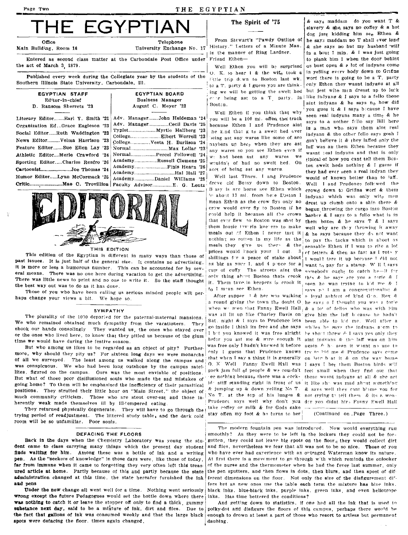Page Two THE EGYPTIAN

# THE EGYPTIAN The Spirit of '75 Stewart's "Pawdy Outline of the says maddam no you want T & Telephone

Office

Main Building, Room 16

Entered as second class matter at the Carbondale Post Office under Friend Ethen-

the act of March 3, 1879.

Published every week during the Collegiate year by the students of the Southern illinois State University, Carbondale, Ill.

|                 | EGYPTIAN STAFF         |  |  |
|-----------------|------------------------|--|--|
| Editor-in-chief |                        |  |  |
|                 | D. Ransom Sherretz '23 |  |  |

Literary Editor ........ Earl Y. Smith '21 Adv. Manager ......... John Heideman '24 Organization Ed...Grace Eagleson '23 News Edltor .......... Velma Harrison '23 ~olIege ................ Vesta H. Burlison '24 Social Editor......Ruth Waddington '23 Athletic Editor....Merie Crawford '24 Normal.....................Percel Followell '24<br>Sporting Editor... Charles Benfro '25 Academy.................Russell Clemens '25

### EGYPTIAN BOARD BusIness Manager August C. Meyer '23

University Exchange No. 17

Typlst. ..................... Myrtle Hallberg '23 College.... . ......... Elbert Worrell '23 Feature Edltor ........ Sue Ellen Lay '23 NormaI.. ............................ Max Lollar '23 Academy ................ Daniel Williams 28,



### THIS EDITION

This edition of the Egyptian is different in many ways than those of past issues. It is just half of the general size. It contains no advertising, It is more or less a humorous number. This can be accounted for by several means. Tbere was no one here during vacation to get the advertising. There was little news to print and no one to write it. So the staff thought tbe best way out was to do as it has done.

Those of you who have been calling us serious minded people will perhaps change your views a bit. We hope so.

The plurality of the 1000 departed for the paternal-maternal mansions. was all lit up like Charley Davis on give him the 18ff b cause he hadn't<br>who remained obtained much dempthy from the vecetioners. Then Sat, night & I s We who remained obtained much sympathy from the vacationers. They sat, night  $\alpha$  is sign to remaine to some well after a sign to like the indicate stem to the indicate stem to shook our hands consolingly. They wanted us, the ones who stayed over  $\frac{1}{1}$  bet you knowed it was free alright be should threw  $k$  I says yes only they are not threw  $k$  I says yes only they configure the stay of the or the ones who lived here, to know that they pitted us because of the glum of the ones who lived here, to show that they priced us because of the gruin.<br>
time we would have during the festive season.

But who among us likes to he regarded as an object of pity? Further- was free only I hadn't knewed it before again  $\ell$  h-seen it wisnt n) use to help that it wisnt n use to help that it wisness that  $\ell$  is a seen it wis more, why should they pity us? For sixteen long days we were monarchs of all we surveyed. The least among us walked along the campus and was conspicuous. We who had been long outshone by the campus satellites, figured On the campus. Ours was the most enviable of positions. But what of those poor disillusioned souls who made the sad mistakes of ee nothing because there was a cock- those wasnt indyans at all & she act going home? To them will be emphasized the inefficiency of their parasitical identified stiff standing right in front of us it like shows mad about something positions. They strutted their little hour on "Main Street," the object of & jumping up & down yelling No T. & savs well they cant b'ame vou for much community criticism. Those who are stout over-eat and those in-INo T. at the top of his lunges & not trying to tell them & its a wenherently weak made themselves ill by filtempered eating. .... Prudence says well why don't you der you didnt hir, Fanny Ewell Hall<br>They returned physically degenerate. They will have to go through the <sup>take</sup> coffey or milk

They returned physically degenerate. They will have to go through the  $I^{12}$ <sup>take</sup> coney or milk  $\alpha$  tor Gods sake trying period of readjustment. The littered study table, and the dark cold room will be so unfamiliar. Poor souls.

### DEFACING THE FLOORS

Back in the days when the Cbemistry Laboratory was young the stu· dent came to class carrying many things which the present day student finds waiting for him. Among these was a bottle of ink and a writing pen. As the "seekers of knowledge" in those days were, like those of today, far from immune when it came to forgetting they very often left this treasured article at home. Partly because of this and partly because the state administration changed at this time, the state hereafer furnished the ink Bud pens

Under the new change all went well for a time. Nothing went seriously wrong except the future Pedagogues would set the bottle down where there was nothing to catch it or leave the stopper off only to find a thick, gummy substance next day, said to be a mixture of ink, dirt and flies. Due to the fact that gallons of Ink was consumed weekly and that the large black spots were defacing the floor. times again changed.

The Spirit of '75  $\&$  says maddam do you want T &

ing we will be getting the swelt hed

cmw would ever fiy to Boston if he could help it because all the crows that ever flew to Boston was shot by to I mean see Ethen.  $\left| \begin{array}{cc} \text{say}_3 & \text{in} \\ \text{say}_3 & \text{in} \end{array} \right|$  am a congregationalist &

slavery & she, says no coffey & a hot<br>dog just kidding him see Ethen & History." Letters of a Minute Man.  $\&$  she says no but my husband will in the manner of Ring Lardner. In a bout 1 min. & I was just going in a bout 1 min.  $\&$  I was just going to plank him 1 when the door behint Well Ethen you will be surprised us bust open & a lot of indyans come 0. K. to hear I & the wife took a in yelling every body down to Grifins (i.e. in drum to Boston last wk. worf there is going to be a T. party Fittle, trip duwn to Boston last wk. worf there is going to be a T, party<br>to a T, party & L guess you are think. only Ethen they wasnt indyans at all to a T. party & I guess you are think- only Ethen they wasnt indyans at all<br>ing we will be getting the swelt hed, but jest wite man dresst up to lock ',r heing ast to a T party. In I like injyanEJ & I says to a fello those Boston. I aint indyans & he says no how did you gues it & I says because I have Well Ethen if you think that wby you gues it as large secure is seen real indyans many a time  $\&$  he will be a 100 ml. offen the track you will be a 100 mi. offert that track says to a nother fello say Bill here<br>because Ethen I and Prudence aint because Ethen I and Prudence aint is a man who says them aint real<br>be kind that gives swelt hed over is a man who says them aint real he k.nd that g ts a swelt hed uver indyans & the other fello says gosh I<br>eing ast any wares like some of are some helters it is then lefted unit the being ast any wares like some of are don't believe it & they laffed only the naybers up here, when they are ast  $\frac{1}{16}$  may be then here they nayhers up her<sub>s</sub> when they are ast laff was an them Ethen because they<br>any wares so you see Ethen even if any wares so you see Ethen even if wasnt ieal indyans and that is only<br>we had been ast any wares we unical of how you cant tall them Bose Sporting Editor......Charles Renfro '24 Reademy.................Russell Clemens '25 we ast any wares we tipical of how you cant tell them Boston and tell them Boston and tell them Boston and tell them Boston and tell them Humor Edltor ...... Lynn McCormack '26 Aca emy ................................ Hal Hall :27 i Well last Thurs. I and Prudence would of known better than to laff. Crltlc ........ : ................. Mae C. TrovlIllon Faculty Advisor .E. G. Lentz' r1r~ve c·ld Belsy d·own to Boston. Well I and PrudenCl> follrwed tbe B ssy is are horse see Ethen which crowd down to Griflns worf & them  $\frac{1}{2}$  about 13 mi. from here Etheton I induces which was only with monle about 13 mi, from hete Eiston I indyans which was only wite men mean Ethen as the crow flys only no dreat un clumb onto a shin there & drest up clumb onto a shin there  $\&$ begun throwing the cargo into Boston harber & I says to a fello what is in them boxes  $\&$  he says  $\Upsilon$   $\&$  I says them lousie thy rin keeters to make well why are they throwing it away meals out .^f Ethen I never tast it | & he says because they do not want<br>nothing so rotten in my life as the to nay the tacks which is about as nothing so rotten in my life as the  $\frac{1}{10}$  pay the tacks which is about as meals they give us there & the sensable Ethen if I was to rite a lot sensable Ethen if I was to rite a lot prices would linock your I out  $\frac{3}{1}$  of letters & then as fast as I roto y shillings for a peace of stake about  $\frac{1}{1}$  woull tare it up because I did not as big as your I. and 4 p nce for a want to pay for a stamp. Will I says cup of coffy. The streets aint the somebody ought to catch he-11 for only thing about Boston thats crook this  $s$ , he says are you a forie  $s$ . I it. Them tave in keepers is crook it i ceen he was trying to kid me & I After supper  $\top$  & her was walking' a loyal subject of kind G·o. Rex & a round giving the town the doubt O he savs o I thought you was a torie  $\overline{\text{SVMPATHY}}$  when we seen that Fanny Ewell Hall  $_{\text{R}}$  a lot of fellos who was with rim that when I say a thing it is generally on lets b at it  $\&$  on the way home fl. )( \\'ell Fanny Ewell H,ll was J says I het them Boston bird, w'lI pack jam full of people & we couldn't feel small when they find out that

(Continued on, Page Three.)

The modern fountain pen was introduced. Now would everything run smoothly? AS they were to be left in the lockers they could not be forgotten, they could not leave big spots on the floor. $_4$  they would collect dirt and flies, nevertheless we fear that all was not to be so nice. Those of you who have ever had experience with an outraged Waterman know its nature. At first there is a move ment to go through w'th which reminds the onlooker of the nurse and the thermometer when he had the fever last summer. only the pen sputters. and 'hen fiows in dots. then blurs, and then spost of dif ferent dimensions on the floor. Not only the size of the disfigurement di<sup>c</sup>fers hut as new ones use the table each term the mixture has blue inks. black inks, blue-black inks, purple inks, green inks, and even heliotrope inks. Has time bettered the conditions?

And getting down to statistics, if one had all the ink that is used to polky-dot and disfigure the floors of this campus, perhaps there would be enough to drown at least a part of those who resort to artless but permanent dauhing.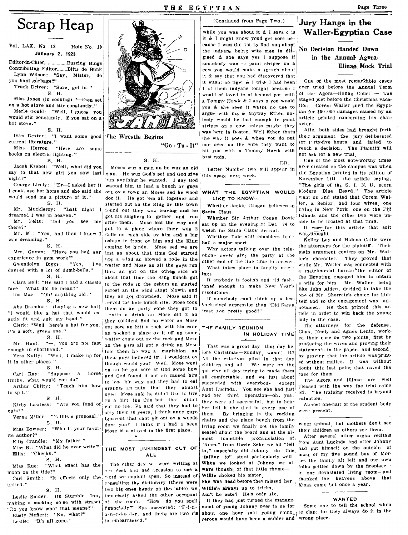### THE EGYPTIAN

# Scrap Heap

Vol. LAX. No 13 Hole No. 19 January 2, 1923

Editor-in-Chief..................Buzzing Bings Contributing Editor. Bitts de Bunk Lynn Wilson: "Say, Mister, do you haul garbage?"

Truck Driver: "Sure, get in."

S. H.

Miss Jones (in cooking) "-then set on a hot stove and stir constantly." Merle Gould: "Well, I guess you would stir constantly, if you sat on a hot stove."

S. H.

Ivan Dexter: "I want some good current literature."

Miss Herron: "Here are some books on electric lighting."

S. H.

Jacob Krebel: "Well, what did you say to that new girl you saw last night?"

George Lirely: "Er-I asked her if I could see her home and she said she would send me a picture of it." S. H.

Mr. Muckleroy: "Last night I dreamed I was in heaven."

Mr. Felts: "Did you see  $me$ there?"

Mr. M : "Yes, and then I knew I was dreaming."

S. H. Mrs. Gumm: "Have you had any experience in gym work?"

Gwendolyn Biggs:  $"Yes.$ danced with a lot of dumb-bells." S. H.

Clara Bell: "He said I had a classic face. What did he mean?" lna Mae: "Oh! anything old."

 $S. H.$ Abe Brandon: (buying a new hat)

"I would like a hat that would exactly fit and suit my head."

Clerk: "Well, here's a hat for you. It's a soft, green one." S. H.

Mr. Hunt: "-, you are not fast enough in shorthand." Vera Nutty: "Well I make up for

it in other places." S. H.

Carl Ray: "Suppose a horse froths, what would you do? Arthur Chitty: "Teach him how

to sp t."  $g - H$ 

Kirby Lawless: "Are you fond of nuts?"

Verna Miller: ""s this a proposal."  $S. H.$ Miss Bowyer: "Who is your favor-

ite author?" Ellis Crandle: "My father"

Miss B.: "What did he ever write?" Ellis: "Checks." S. H.

"What effect has the Mics Rue: moon on the tide?" Carl Smith: "It effects only the

untied." S. H.

Leslie Snider: (in Stumble Inn, making a sucking noise with straw) "Do you know what that means?" Rusty Meffert: "No, what?" Leslie: "It's all gone."



The Wrestle Begins

"Go - To - It"

### S. H.

Moses wuz a man an he wuz an old man. He wuz God's pet and God give him anything he wanted. 1 day God wanted him to lead a bunch ov guys out ov a town an Moses sed he wood doo it. He got 'em all together and started out an the King ov this town found out they wuz leaving and he got his solghers to gether and run after them. Mose lost the way and got to a place where their wuz 2 fiells on each side ov him and a blg oshum in front ov him and the King coming be hinde. Mose sed we are lost an about that time God started upp a wind an blowed a rode in the watter and Mose an all the guys run thru an got on the other side an about that time the King bunch got to the rode in the oshum an started acrost an the wind stopt blowin and they all got drownded. Mose said it erved the hole bunch rite. Mose took them on an purty sone they got to pentin a drink an Mose did 2 an they couldent find no water an Mose got sore an hitt a rock with his cane an nocked a place ov it off an some watter come out ov the rock and Mose an the guys all got a drink an Mose told them he waz a magishion an them guys believed im. i wouldent ov though would you? Well, Mose went on an he got sore at God some how and God found it out an caused him to lose his way and they had to eat grappes an nuts that they almost nyed. Mose said he didn't like to live on a diet like this but that didn't cut no ice. Pa said that they had to stav their 40 yeers, i th'nk anny guys ignarent that cant git out ov a woods dont you? i think if i had a been Mose id a stayed in the first place.  $\bullet$ 

### THE MOST UNKINDEST CUT OF ALL.

The ciher day w were writing at ovr desk and had occasion to use a word we couldnt spell. So instead of consulting the dictionary (there were two big ones handy on the table) we innocently asked the other occupant of the room. "How do you spell fnanc'ally?" She answered: "F-i-na-n-c-i-a-l-l-y, and there are two r's in embarrassed."

(Continued from Page Two.) while you was about it  $\&$  I savs  $\&$  is it & I might know youd get sore because I was the 1st to find out about the indyans being wite men in dis- No Decision Handed Down gised & she says yes I suppose if somebody was to paint strines on a cow you would make a sphach about it & say that you had discovered that it wasn: no tiger & I wish I had been 1 of them indvans tonight because I would of loved to of beened you with a Tommy Hawk & I says o you would you & she seen it wasnt no use to argue with me & anyway Ethen nobody would be focl enough to paint stripes on a cow unless maybe they was born in Boston. Well Ethen thats the way it goes & when you do put one over on the wife they want to hit you with a Tommy Hawk with hest rgds

Letter Number two will appear in this space next week.

 $ED$ 

### WHAT THE EGYPTIAN WOULD LIKE TO KNOW-

Whether Jackie Coogan believes in **Santa Claus.** 

Whether Sir Arthur Conan Doyle sat up on the evening of Dec 24 to watch for Santa Claus' arrival.

Whether Yale still considers foothall a maior sport.

Why actors talking over the telephone never give the party at the other end of the line time to answer. What takes place in faculty miet-Ings

If anybody is foolish and ald fash oned enough to make New Year's resolutions.

If somebody can't think up a less hackneyed expression than "Did Santa reat you pretty good?"

#### THE FAMILY REUNION IN HOLIDAY TIME

 $\overline{\phantom{a}}$ 

That was a great day-that day before Christmas-Sunday wasn't it? All the relatives piled in that day children and all. We were on the qui vive all day trying to made them all comfortable, and we just about succeeded with everybody except Aunt Lucinda. You see she had just had her third operation-oh, yes, they were all successful, but to hear her tell it she died in every one of them. By bringing in the rocking chairs and the piano bench from the living room we finally got the family seated about the board and at the almost inaudible propunciation of "Amen" from Uncle Zeke we all "fell to," especially did Johnny do this 'falling to" stunt particularly well. When we looked at Johnny we always thought of that little rhyme-Willie choked his sister

She was dead before they missed her. Willie's always up to tricks,

Ain't he cute? He's only six.

If they had just turned the management of young Johnny over to us for about one hour said young rhino\_ to clap; for they always do it in the cerous would have been a sadder and wrong place.

Jury Hangs in the **Waller-Egyptian Case** 

### in the Annual Agora-Illinaé Mock Trial

One of the most remarkable cases ever tried before the Annual Term of the Agora-Illinae Court - was staged just before the Christmas vacation Corem Waller sued the Egyptian for \$50,000 damages caused by an article printed concerning his char-**Seler** 

After both sides had brought forth their argument the jury deliberated for ferty-five hours and failed to reach a decision. The Plaintiff will not ask for a new trial

Cne of the most note-worthy times ever created on the campus was when the Egyptian printed in its edition of November 14th, the article saying, "The girls of the S. I. N. U. scorn Modern Blue Beard." The article went on and stated that Corem Waller, a Senior, had four wives, one living in New York, one on the Fiji Islands and the other two were unable to be located at that time.

It was for this article that suit was brought.

Kelley Loy and Halena Callis were the attorneys for the plaintiff. Their main argument centers on Mr. Waller's character. They proved that while Mr. Waller was connected with a matrimonial bureau the editor of the Egyptian engaged him to obtain a wife for him Mr. Waller, being like John Alden, decided to take the one of Mr. Sherretz's choice for himself and so the engagement was announced. He then printed this article in order to win back the young lady in the case.

The attorneys for the defense, Chas, Neely and Agnes Lentz, worked their case on two points, first by producing the wives and proving their statements in the paper, and second. by proving that the article was printed without malice. It was without doubt this last point that saved the case for them.

The Agora and Illinae are well pleased with the way the trial came off. The training received is beyond valuation.

Almost one-half of the student body were present.

wiser animal, but mothers don't see their children as others see them.

After several other organ recitals from Aunt Lucinda and after Johnny had put himself on the outside of most of my five pound box of Morses the family all left and our own folks settled down by the fireplacein our devastated living room-and thanked the heavens above that Xmas came but once a year.

### WANTED

Some one to tell the school when